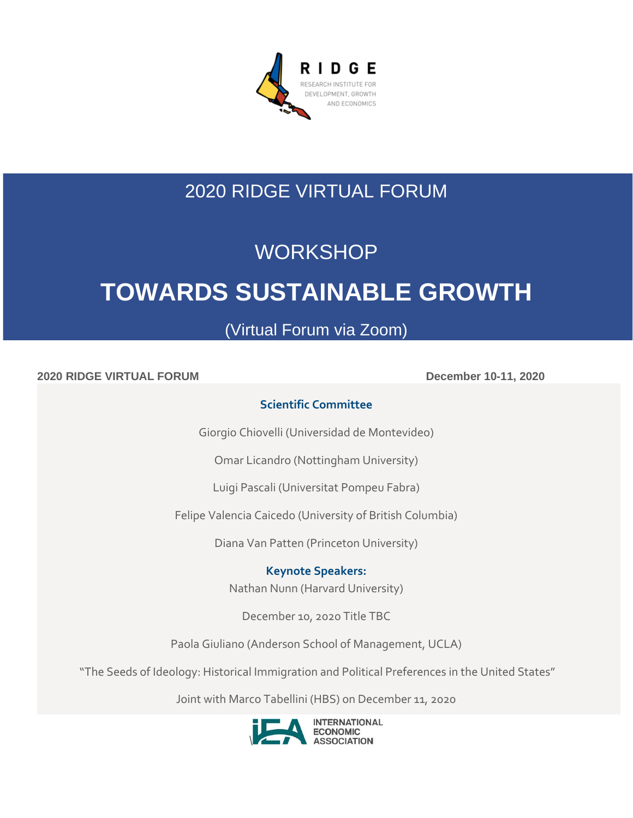

# 2020 RIDGE VIRTUAL FORUM

## **WORKSHOP**

# **TOWARDS SUSTAINABLE GROWTH**

## (Virtual Forum via Zoom)

**2020** RIDGE VIRTUAL FORUM December 10-11, 2020

## **Scientific Committee**

Giorgio Chiovelli (Universidad de Montevideo)

Omar Licandro (Nottingham University)

Luigi Pascali (Universitat Pompeu Fabra)

Felipe Valencia Caicedo (University of British Columbia)

Diana Van Patten (Princeton University)

**Keynote Speakers:**

Nathan Nunn (Harvard University)

December 10, 2020 Title TBC

Paola Giuliano (Anderson School of Management, UCLA)

"The Seeds of Ideology: Historical Immigration and Political Preferences in the United States"

Joint with Marco Tabellini (HBS) on December 11, 2020